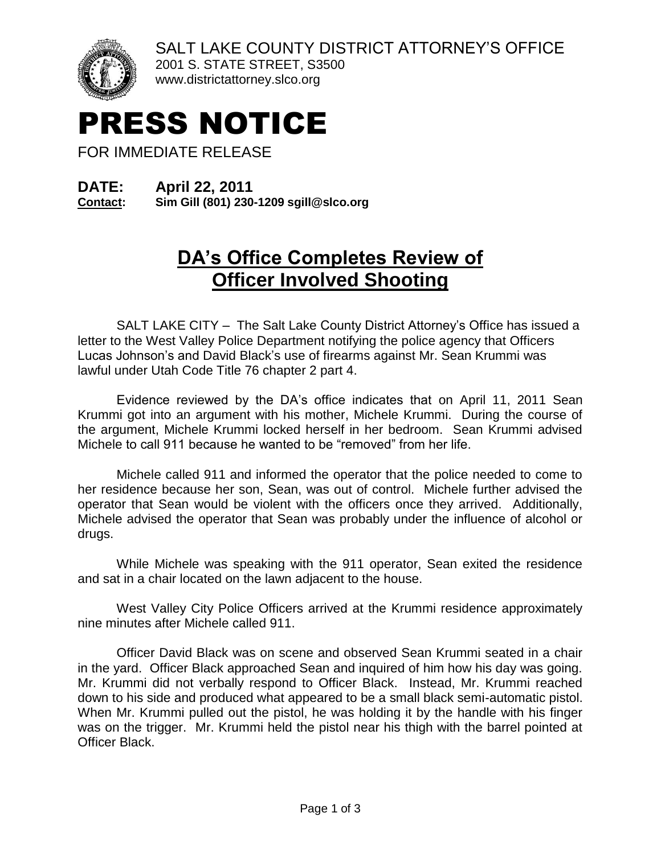



www.districtattorney.slco.org

## PRESS NOTICE

FOR IMMEDIATE RELEASE

## **DATE: April 22, 2011**

**Contact: Sim Gill (801) 230-1209 sgill@slco.org**

## **DA's Office Completes Review of Officer Involved Shooting**

SALT LAKE CITY – The Salt Lake County District Attorney's Office has issued a letter to the West Valley Police Department notifying the police agency that Officers Lucas Johnson's and David Black's use of firearms against Mr. Sean Krummi was lawful under Utah Code Title 76 chapter 2 part 4.

Evidence reviewed by the DA's office indicates that on April 11, 2011 Sean Krummi got into an argument with his mother, Michele Krummi. During the course of the argument, Michele Krummi locked herself in her bedroom. Sean Krummi advised Michele to call 911 because he wanted to be "removed" from her life.

Michele called 911 and informed the operator that the police needed to come to her residence because her son, Sean, was out of control. Michele further advised the operator that Sean would be violent with the officers once they arrived. Additionally, Michele advised the operator that Sean was probably under the influence of alcohol or drugs.

While Michele was speaking with the 911 operator, Sean exited the residence and sat in a chair located on the lawn adjacent to the house.

West Valley City Police Officers arrived at the Krummi residence approximately nine minutes after Michele called 911.

Officer David Black was on scene and observed Sean Krummi seated in a chair in the yard. Officer Black approached Sean and inquired of him how his day was going. Mr. Krummi did not verbally respond to Officer Black. Instead, Mr. Krummi reached down to his side and produced what appeared to be a small black semi-automatic pistol. When Mr. Krummi pulled out the pistol, he was holding it by the handle with his finger was on the trigger. Mr. Krummi held the pistol near his thigh with the barrel pointed at Officer Black.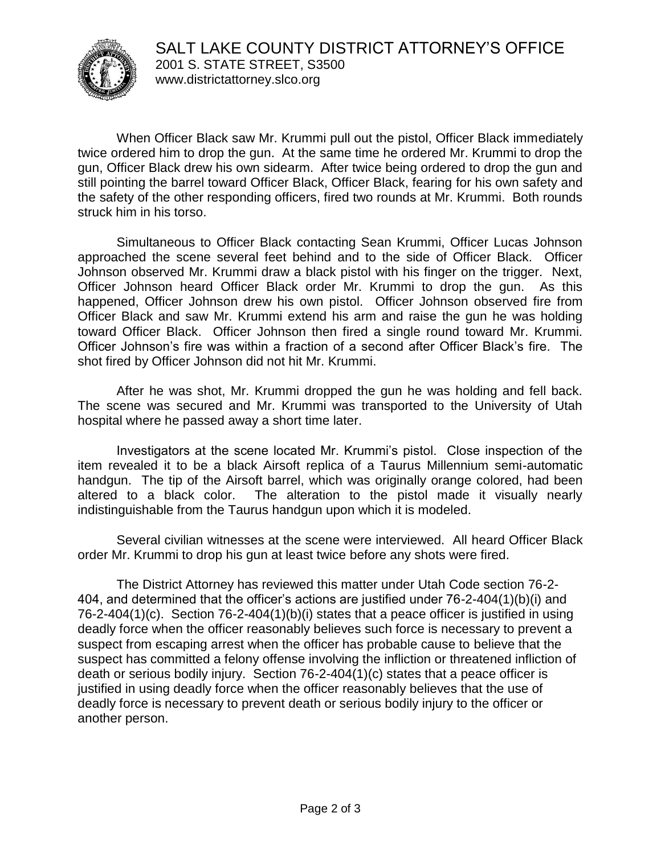

When Officer Black saw Mr. Krummi pull out the pistol, Officer Black immediately twice ordered him to drop the gun. At the same time he ordered Mr. Krummi to drop the gun, Officer Black drew his own sidearm. After twice being ordered to drop the gun and still pointing the barrel toward Officer Black, Officer Black, fearing for his own safety and the safety of the other responding officers, fired two rounds at Mr. Krummi. Both rounds struck him in his torso.

Simultaneous to Officer Black contacting Sean Krummi, Officer Lucas Johnson approached the scene several feet behind and to the side of Officer Black. Officer Johnson observed Mr. Krummi draw a black pistol with his finger on the trigger. Next, Officer Johnson heard Officer Black order Mr. Krummi to drop the gun. As this happened, Officer Johnson drew his own pistol. Officer Johnson observed fire from Officer Black and saw Mr. Krummi extend his arm and raise the gun he was holding toward Officer Black. Officer Johnson then fired a single round toward Mr. Krummi. Officer Johnson's fire was within a fraction of a second after Officer Black's fire. The shot fired by Officer Johnson did not hit Mr. Krummi.

After he was shot, Mr. Krummi dropped the gun he was holding and fell back. The scene was secured and Mr. Krummi was transported to the University of Utah hospital where he passed away a short time later.

Investigators at the scene located Mr. Krummi's pistol. Close inspection of the item revealed it to be a black Airsoft replica of a Taurus Millennium semi-automatic handgun. The tip of the Airsoft barrel, which was originally orange colored, had been altered to a black color. The alteration to the pistol made it visually nearly indistinguishable from the Taurus handgun upon which it is modeled.

Several civilian witnesses at the scene were interviewed. All heard Officer Black order Mr. Krummi to drop his gun at least twice before any shots were fired.

The District Attorney has reviewed this matter under Utah Code section 76-2- 404, and determined that the officer's actions are justified under 76-2-404(1)(b)(i) and 76-2-404(1)(c). Section 76-2-404(1)(b)(i) states that a peace officer is justified in using deadly force when the officer reasonably believes such force is necessary to prevent a suspect from escaping arrest when the officer has probable cause to believe that the suspect has committed a felony offense involving the infliction or threatened infliction of death or serious bodily injury. Section 76-2-404(1)(c) states that a peace officer is justified in using deadly force when the officer reasonably believes that the use of deadly force is necessary to prevent death or serious bodily injury to the officer or another person.